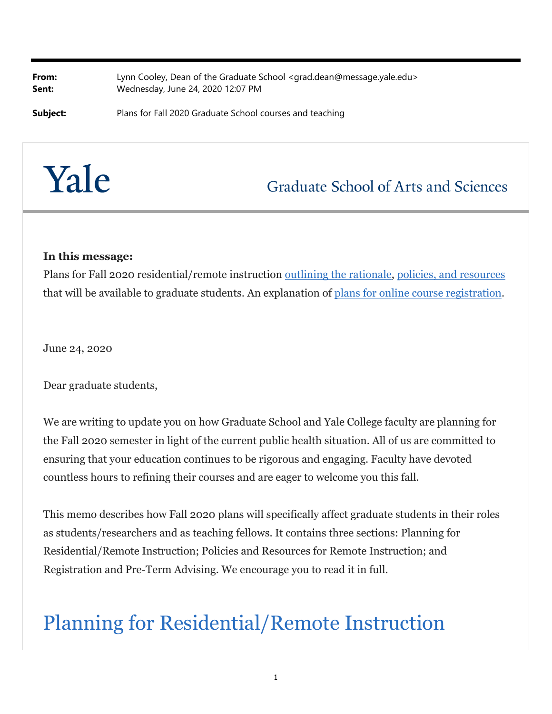**From:** Lynn Cooley, Dean of the Graduate School <grad.dean@message.yale.edu> **Sent:** Wednesday, June 24, 2020 12:07 PM

**Subject:** Plans for Fall 2020 Graduate School courses and teaching

# Yale

### **Graduate School of Arts and Sciences**

#### **In this message:**

Plans for Fall 2020 residential/remote instruction outlining the rationale, policies, and resources that will be available to graduate students. An explanation of plans for online course registration.

June 24, 2020

Dear graduate students,

We are writing to update you on how Graduate School and Yale College faculty are planning for the Fall 2020 semester in light of the current public health situation. All of us are committed to ensuring that your education continues to be rigorous and engaging. Faculty have devoted countless hours to refining their courses and are eager to welcome you this fall.

This memo describes how Fall 2020 plans will specifically affect graduate students in their roles as students/researchers and as teaching fellows. It contains three sections: Planning for Residential/Remote Instruction; Policies and Resources for Remote Instruction; and Registration and Pre-Term Advising. We encourage you to read it in full.

## Planning for Residential/Remote Instruction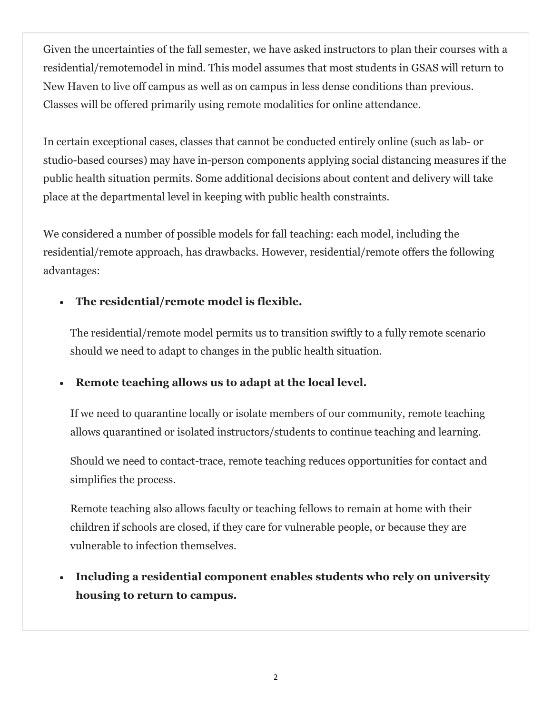Given the uncertainties of the fall semester, we have asked instructors to plan their courses with a residential/remotemodel in mind. This model assumes that most students in GSAS will return to New Haven to live off campus as well as on campus in less dense conditions than previous. Classes will be offered primarily using remote modalities for online attendance.

In certain exceptional cases, classes that cannot be conducted entirely online (such as lab- or studio-based courses) may have in-person components applying social distancing measures if the public health situation permits. Some additional decisions about content and delivery will take place at the departmental level in keeping with public health constraints.

We considered a number of possible models for fall teaching: each model, including the residential/remote approach, has drawbacks. However, residential/remote offers the following advantages:

#### **The residential/remote model is flexible.**

The residential/remote model permits us to transition swiftly to a fully remote scenario should we need to adapt to changes in the public health situation.

#### **Remote teaching allows us to adapt at the local level.**

If we need to quarantine locally or isolate members of our community, remote teaching allows quarantined or isolated instructors/students to continue teaching and learning.

Should we need to contact-trace, remote teaching reduces opportunities for contact and simplifies the process.

Remote teaching also allows faculty or teaching fellows to remain at home with their children if schools are closed, if they care for vulnerable people, or because they are vulnerable to infection themselves.

 **Including a residential component enables students who rely on university housing to return to campus.**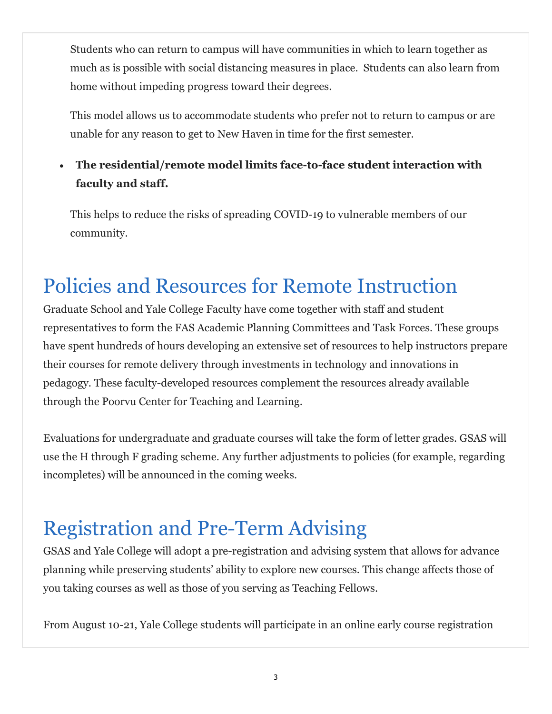Students who can return to campus will have communities in which to learn together as much as is possible with social distancing measures in place. Students can also learn from home without impeding progress toward their degrees.

This model allows us to accommodate students who prefer not to return to campus or are unable for any reason to get to New Haven in time for the first semester.

#### **The residential/remote model limits face-to-face student interaction with faculty and staff.**

This helps to reduce the risks of spreading COVID-19 to vulnerable members of our community.

## Policies and Resources for Remote Instruction

Graduate School and Yale College Faculty have come together with staff and student representatives to form the FAS Academic Planning Committees and Task Forces. These groups have spent hundreds of hours developing an extensive set of resources to help instructors prepare their courses for remote delivery through investments in technology and innovations in pedagogy. These faculty-developed resources complement the resources already available through the Poorvu Center for Teaching and Learning.

Evaluations for undergraduate and graduate courses will take the form of letter grades. GSAS will use the H through F grading scheme. Any further adjustments to policies (for example, regarding incompletes) will be announced in the coming weeks.

## Registration and Pre-Term Advising

GSAS and Yale College will adopt a pre-registration and advising system that allows for advance planning while preserving students' ability to explore new courses. This change affects those of you taking courses as well as those of you serving as Teaching Fellows.

From August 10-21, Yale College students will participate in an online early course registration